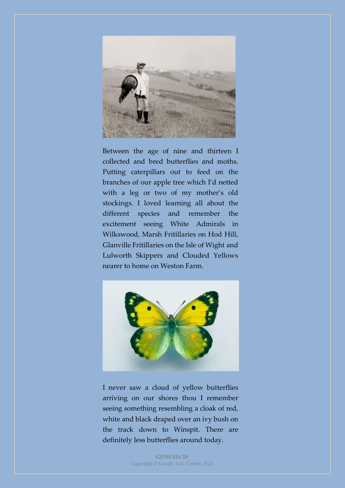

Between the age of nine and thirteen I collected and bred butterflies and moths. Putting caterpillars out to feed on the branches of our apple tree which I'd netted with a leg or two of my mother's old stockings. I loved learning all about the different species and remember the excitement seeing White Admirals in Wilkswood, Marsh Fritillaries on Hod Hill, Glanville Fritillaries on the Isle of Wight and Lulworth Skippers and Clouded Yellows nearer to home on Weston Farm.



I never saw a cloud of yellow butterflies arriving on our shores thou I remember seeing something resembling a cloak of red, white and black draped over an ivy bush on the track down to Winspit. There are definitely less butterflies around today.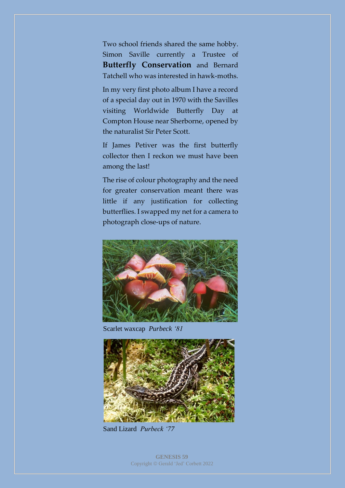Two school friends shared the same hobby. Simon Saville currently a Trustee of **Butterfly Conservation** and Bernard Tatchell who was interested in hawk-moths.

In my very first photo album I have a record of a special day out in 1970 with the Savilles visiting Worldwide Butterfly Day at Compton House near Sherborne, opened by the naturalist Sir Peter Scott.

If James Petiver was the first butterfly collector then I reckon we must have been among the last!

The rise of colour photography and the need for greater conservation meant there was little if any justification for collecting butterflies. I swapped my net for a camera to photograph close-ups of nature.



Scarlet waxcap *Purbeck '81*



Sand Lizard *Purbeck '77*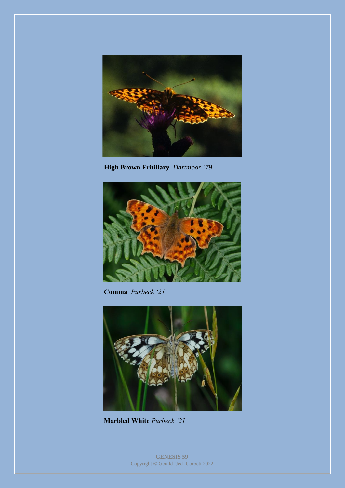

**High Brown Fritillary** *Dartmoor '79*



**Comma** *Purbeck '21*



**Marbled White** *Purbeck '21*